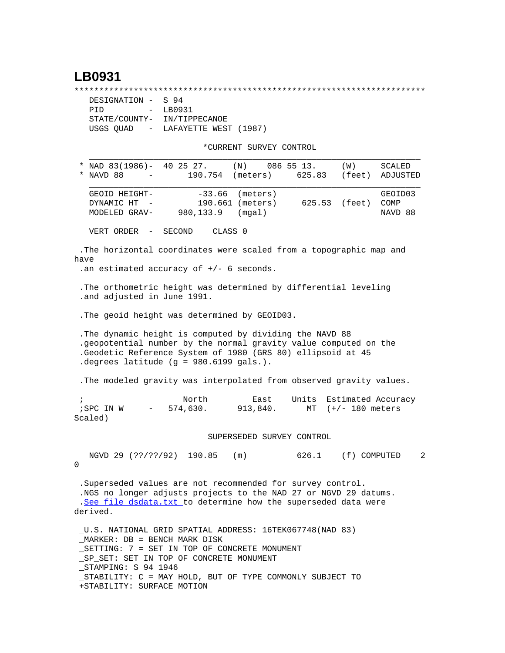## **LB0931**

\*\*\*\*\*\*\*\*\*\*\*\*\*\*\*\*\*\*\*\*\*\*\*\*\*\*\*\*\*\*\*\*\*\*\*\*\*\*\*\*\*\*\*\*\*\*\*\*\*\*\*\*\*\*\*\*\*\*\*\*\*\*\*\*\*\*\*\*\*\*\*

| DESIGNATION - S 94          |                                   |
|-----------------------------|-----------------------------------|
| PTD                         | - LB0931                          |
| STATE/COUNTY- IN/TIPPECANOE |                                   |
|                             | USGS OUAD - LAFAYETTE WEST (1987) |

+STABILITY: SURFACE MOTION

\*CURRENT SURVEY CONTROL

|   | "CURRENI SURVEI CONIROL                                                                                                                                                                                                                                                   |
|---|---------------------------------------------------------------------------------------------------------------------------------------------------------------------------------------------------------------------------------------------------------------------------|
|   | * NAD $83(1986)$ - 40 25 27.<br>$(N)$ 086 55 13.<br>(W)<br>SCALED<br>(feet)<br>* NAVD 88<br>190.754<br>(meters)<br>625.83<br>ADJUSTED<br>$\sim 100$ km s $^{-1}$                                                                                                          |
|   | $-33.66$<br>GEOID HEIGHT-<br>(meters)<br>GEOID03<br>190.661 (meters)<br>DYNAMIC HT<br>625.53 (feet)<br>COMP<br>(mgal)<br>MODELED GRAV-<br>980,133.9<br>NAVD 88                                                                                                            |
|   | SECOND<br>CLASS 0<br>VERT ORDER<br>$\overline{\phantom{m}}$                                                                                                                                                                                                               |
|   | . The horizontal coordinates were scaled from a topographic map and<br>have<br>.an estimated accuracy of $+/-$ 6 seconds.                                                                                                                                                 |
|   | . The orthometric height was determined by differential leveling<br>.and adjusted in June 1991.                                                                                                                                                                           |
|   | . The geoid height was determined by GEOID03.                                                                                                                                                                                                                             |
|   | . The dynamic height is computed by dividing the NAVD 88<br>.geopotential number by the normal gravity value computed on the<br>.Geodetic Reference System of 1980 (GRS 80) ellipsoid at 45<br>. degrees latitude $(g = 980.6199$ gals.).                                 |
|   | . The modeled gravity was interpolated from observed gravity values.                                                                                                                                                                                                      |
|   | $\mathbf{i}$<br>North<br>Units<br>Estimated Accuracy<br>East<br>574,630.<br>913,840.<br>MT $(+/- 180$ meters<br>; SPC IN W<br><b>Contract Contract</b><br>Scaled)                                                                                                         |
|   | SUPERSEDED SURVEY CONTROL                                                                                                                                                                                                                                                 |
| 0 | NGVD 29 (??/??/92) 190.85<br>(m)<br>626.1<br>(f) COMPUTED                                                                                                                                                                                                                 |
|   | .Superseded values are not recommended for survey control.<br>.NGS no longer adjusts projects to the NAD 27 or NGVD 29 datums.<br>.See file dsdata.txt to determine how the superseded data were<br>derived.                                                              |
|   | U.S. NATIONAL GRID SPATIAL ADDRESS: 16TEK067748(NAD 83)<br>$MARKER: DB = BENCH MARK DISK$<br>_SETTING: 7 = SET IN TOP OF CONCRETE MONUMENT<br>_SP_SET: SET IN TOP OF CONCRETE MONUMENT<br>STAMPING: S 94 1946<br>STABILITY: C = MAY HOLD, BUT OF TYPE COMMONLY SUBJECT TO |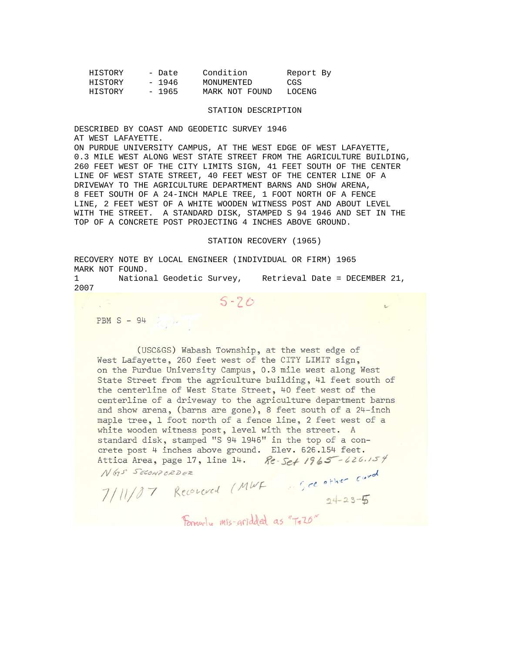| HISTORY | - Date  | Condition      | Report By |  |
|---------|---------|----------------|-----------|--|
| HISTORY | - 1946  | MONUMENTED     | CGS       |  |
| HISTORY | $-1965$ | MARK NOT FOUND | LOCENG    |  |

## STATION DESCRIPTION

DESCRIBED BY COAST AND GEODETIC SURVEY 1946 AT WEST LAFAYETTE.

ON PURDUE UNIVERSITY CAMPUS, AT THE WEST EDGE OF WEST LAFAYETTE, 0.3 MILE WEST ALONG WEST STATE STREET FROM THE AGRICULTURE BUILDING, 260 FEET WEST OF THE CITY LIMITS SIGN, 41 FEET SOUTH OF THE CENTER LINE OF WEST STATE STREET, 40 FEET WEST OF THE CENTER LINE OF A DRIVEWAY TO THE AGRICULTURE DEPARTMENT BARNS AND SHOW ARENA, 8 FEET SOUTH OF A 24-INCH MAPLE TREE, 1 FOOT NORTH OF A FENCE LINE, 2 FEET WEST OF A WHITE WOODEN WITNESS POST AND ABOUT LEVEL WITH THE STREET. A STANDARD DISK, STAMPED S 94 1946 AND SET IN THE TOP OF A CONCRETE POST PROJECTING 4 INCHES ABOVE GROUND.

## STATION RECOVERY (1965)

RECOVERY NOTE BY LOCAL ENGINEER (INDIVIDUAL OR FIRM) 1965 MARK NOT FOUND.

1 National Geodetic Survey, Retrieval Date = DECEMBER 21, 2007

 $S - 20$ 

 $PBM S - 94$ 

(USC&GS) Wabash Township, at the west edge of West Lafayette, 260 feet west of the CITY LIMIT sign, on the Purdue University Campus, 0.3 mile west along West State Street from the agriculture building, 41 feet south of the centerline of West State Street, 40 feet west of the centerline of a driveway to the agriculture department barns and show arena, (barns are gone), 8 feet south of a 24-inch maple tree, 1 foot north of a fence line, 2 feet west of a white wooden witness post, level with the street. A standard disk, stamped "S 94 1946" in the top of a concrete post 4 inches above ground. Elev. 626.154 feet. Re-Set 1965-626.154 Attica Area, page 17, line 14.

NGS SECONDORDER

NGS SECONDORDER<br>7/11/07 Record (MWF 35, ce other card)<br>Emmal Microfided as "Talo" Forwarly mis-gridded as "To 20"